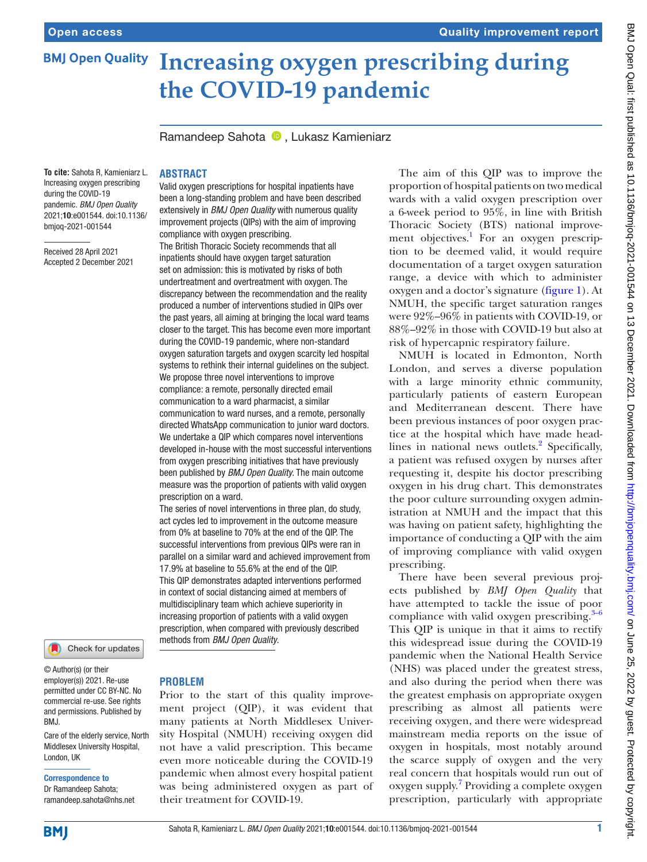# **Increasing oxygen prescribing during BMJ Open Quality the COVID-19 pandemic**

Ramandeep Sahota <sup>D</sup>. Lukasz Kamieniarz

# **To cite:** Sahota R, Kamieniarz L. Increasing oxygen prescribing

during the COVID-19 pandemic. *BMJ Open Quality* 2021;10:e001544. doi:10.1136/ bmjoq-2021-001544

Received 28 April 2021 Accepted 2 December 2021

## **ABSTRACT**

Valid oxygen prescriptions for hospital inpatients have been a long-standing problem and have been described extensively in *BMJ Open Quality* with numerous quality improvement projects (QIPs) with the aim of improving compliance with oxygen prescribing.

The British Thoracic Society recommends that all inpatients should have oxygen target saturation set on admission: this is motivated by risks of both undertreatment and overtreatment with oxygen. The discrepancy between the recommendation and the reality produced a number of interventions studied in QIPs over the past years, all aiming at bringing the local ward teams closer to the target. This has become even more important during the COVID-19 pandemic, where non-standard oxygen saturation targets and oxygen scarcity led hospital systems to rethink their internal guidelines on the subject. We propose three novel interventions to improve compliance: a remote, personally directed email communication to a ward pharmacist, a similar communication to ward nurses, and a remote, personally directed WhatsApp communication to junior ward doctors. We undertake a QIP which compares novel interventions developed in-house with the most successful interventions from oxygen prescribing initiatives that have previously been published by *BMJ Open Quality*. The main outcome measure was the proportion of patients with valid oxygen prescription on a ward.

The series of novel interventions in three plan, do study, act cycles led to improvement in the outcome measure from 0% at baseline to 70% at the end of the QIP. The successful interventions from previous QIPs were ran in parallel on a similar ward and achieved improvement from 17.9% at baseline to 55.6% at the end of the QIP. This QIP demonstrates adapted interventions performed in context of social distancing aimed at members of multidisciplinary team which achieve superiority in increasing proportion of patients with a valid oxygen prescription, when compared with previously described methods from *BMJ Open Quality*.

Check for updates

© Author(s) (or their employer(s)) 2021. Re-use permitted under CC BY-NC. No commercial re-use. See rights and permissions. Published by BMJ.

Care of the elderly service, North Middlesex University Hospital, London, UK

## Correspondence to

Dr Ramandeep Sahota; ramandeep.sahota@nhs.net

## **PROBLEM**

Prior to the start of this quality improvement project (QIP), it was evident that many patients at North Middlesex University Hospital (NMUH) receiving oxygen did not have a valid prescription. This became even more noticeable during the COVID-19 pandemic when almost every hospital patient was being administered oxygen as part of their treatment for COVID-19.

The aim of this QIP was to improve the proportion of hospital patients on two medical wards with a valid oxygen prescription over a 6-week period to 95%, in line with British Thoracic Society (BTS) national improvement objectives.<sup>1</sup> For an oxygen prescription to be deemed valid, it would require documentation of a target oxygen saturation range, a device with which to administer oxygen and a doctor's signature [\(figure](#page-1-0) 1). At NMUH, the specific target saturation ranges were 92%–96% in patients with COVID-19, or 88%–92% in those with COVID-19 but also at risk of hypercapnic respiratory failure.

NMUH is located in Edmonton, North London, and serves a diverse population with a large minority ethnic community, particularly patients of eastern European and Mediterranean descent. There have been previous instances of poor oxygen practice at the hospital which have made head-lines in national news outlets.<sup>[2](#page-5-1)</sup> Specifically, a patient was refused oxygen by nurses after requesting it, despite his doctor prescribing oxygen in his drug chart. This demonstrates the poor culture surrounding oxygen administration at NMUH and the impact that this was having on patient safety, highlighting the importance of conducting a QIP with the aim of improving compliance with valid oxygen prescribing.

There have been several previous projects published by *BMJ Open Quality* that have attempted to tackle the issue of poor compliance with valid oxygen prescribing. $3-6$ This QIP is unique in that it aims to rectify this widespread issue during the COVID-19 pandemic when the National Health Service (NHS) was placed under the greatest stress, and also during the period when there was the greatest emphasis on appropriate oxygen prescribing as almost all patients were receiving oxygen, and there were widespread mainstream media reports on the issue of oxygen in hospitals, most notably around the scarce supply of oxygen and the very real concern that hospitals would run out of oxygen supply.<sup>[7](#page-5-3)</sup> Providing a complete oxygen prescription, particularly with appropriate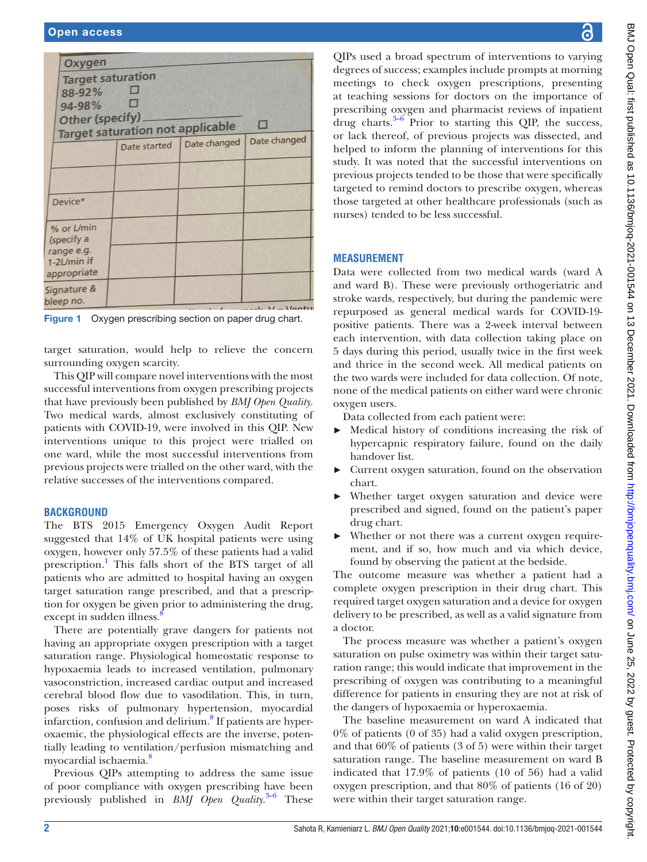| Oxygen                                            |              |              |              |  |  |  |  |
|---------------------------------------------------|--------------|--------------|--------------|--|--|--|--|
| <b>Target saturation</b>                          |              |              |              |  |  |  |  |
| 88-92%                                            |              |              |              |  |  |  |  |
| 94-98%                                            |              |              |              |  |  |  |  |
| <b>Other (specify)</b>                            |              |              |              |  |  |  |  |
| $\Box$<br><b>Target saturation not applicable</b> |              |              |              |  |  |  |  |
|                                                   | Date started | Date changed | Date changed |  |  |  |  |
|                                                   |              |              |              |  |  |  |  |
|                                                   |              |              |              |  |  |  |  |
|                                                   |              |              |              |  |  |  |  |
| Device*                                           |              |              |              |  |  |  |  |
|                                                   |              |              |              |  |  |  |  |
| % or L/min                                        |              |              |              |  |  |  |  |
| (specify a                                        |              |              |              |  |  |  |  |
| range e.g.                                        |              |              |              |  |  |  |  |
| 1-2L/min if                                       |              |              |              |  |  |  |  |
| appropriate                                       |              |              |              |  |  |  |  |
| Signature &                                       |              |              |              |  |  |  |  |
| bleep no.                                         |              |              | $-1.11 - 1/$ |  |  |  |  |

<span id="page-1-0"></span>Figure 1 Oxygen prescribing section on paper drug chart.

target saturation, would help to relieve the concern surrounding oxygen scarcity.

This QIP will compare novel interventions with the most successful interventions from oxygen prescribing projects that have previously been published by *BMJ Open Quality*. Two medical wards, almost exclusively constituting of patients with COVID-19, were involved in this QIP. New interventions unique to this project were trialled on one ward, while the most successful interventions from previous projects were trialled on the other ward, with the relative successes of the interventions compared.

## **BACKGROUND**

The BTS 2015 Emergency Oxygen Audit Report suggested that 14% of UK hospital patients were using oxygen, however only 57.5% of these patients had a valid prescription.<sup>1</sup> This falls short of the BTS target of all patients who are admitted to hospital having an oxygen target saturation range prescribed, and that a prescription for oxygen be given prior to administering the drug, except in sudden illness.<sup>[8](#page-5-4)</sup>

There are potentially grave dangers for patients not having an appropriate oxygen prescription with a target saturation range. Physiological homeostatic response to hypoxaemia leads to increased ventilation, pulmonary vasoconstriction, increased cardiac output and increased cerebral blood flow due to vasodilation. This, in turn, poses risks of pulmonary hypertension, myocardial infarction, confusion and delirium.<sup>[8](#page-5-4)</sup> If patients are hyperoxaemic, the physiological effects are the inverse, potentially leading to ventilation/perfusion mismatching and myocardial ischaemia.<sup>[8](#page-5-4)</sup>

Previous QIPs attempting to address the same issue of poor compliance with oxygen prescribing have been previously published in *BMJ Open Quality*. [3–6](#page-5-2) These

QIPs used a broad spectrum of interventions to varying degrees of success; examples include prompts at morning meetings to check oxygen prescriptions, presenting at teaching sessions for doctors on the importance of prescribing oxygen and pharmacist reviews of inpatient drug charts. $3-6$  Prior to starting this QIP, the success, or lack thereof, of previous projects was dissected, and helped to inform the planning of interventions for this study. It was noted that the successful interventions on previous projects tended to be those that were specifically targeted to remind doctors to prescribe oxygen, whereas those targeted at other healthcare professionals (such as nurses) tended to be less successful.

## **MEASUREMENT**

Data were collected from two medical wards (ward A and ward B). These were previously orthogeriatric and stroke wards, respectively, but during the pandemic were repurposed as general medical wards for COVID-19 positive patients. There was a 2-week interval between each intervention, with data collection taking place on 5 days during this period, usually twice in the first week and thrice in the second week. All medical patients on the two wards were included for data collection. Of note, none of the medical patients on either ward were chronic oxygen users.

Data collected from each patient were:

- Medical history of conditions increasing the risk of hypercapnic respiratory failure, found on the daily handover list.
- ► Current oxygen saturation, found on the observation chart.
- Whether target oxygen saturation and device were prescribed and signed, found on the patient's paper drug chart.
- ► Whether or not there was a current oxygen requirement, and if so, how much and via which device, found by observing the patient at the bedside.

The outcome measure was whether a patient had a complete oxygen prescription in their drug chart. This required target oxygen saturation and a device for oxygen delivery to be prescribed, as well as a valid signature from a doctor.

The process measure was whether a patient's oxygen saturation on pulse oximetry was within their target saturation range; this would indicate that improvement in the prescribing of oxygen was contributing to a meaningful difference for patients in ensuring they are not at risk of the dangers of hypoxaemia or hyperoxaemia.

The baseline measurement on ward A indicated that 0% of patients (0 of 35) had a valid oxygen prescription, and that 60% of patients (3 of 5) were within their target saturation range. The baseline measurement on ward B indicated that 17.9% of patients (10 of 56) had a valid oxygen prescription, and that 80% of patients (16 of 20) were within their target saturation range.

ဥ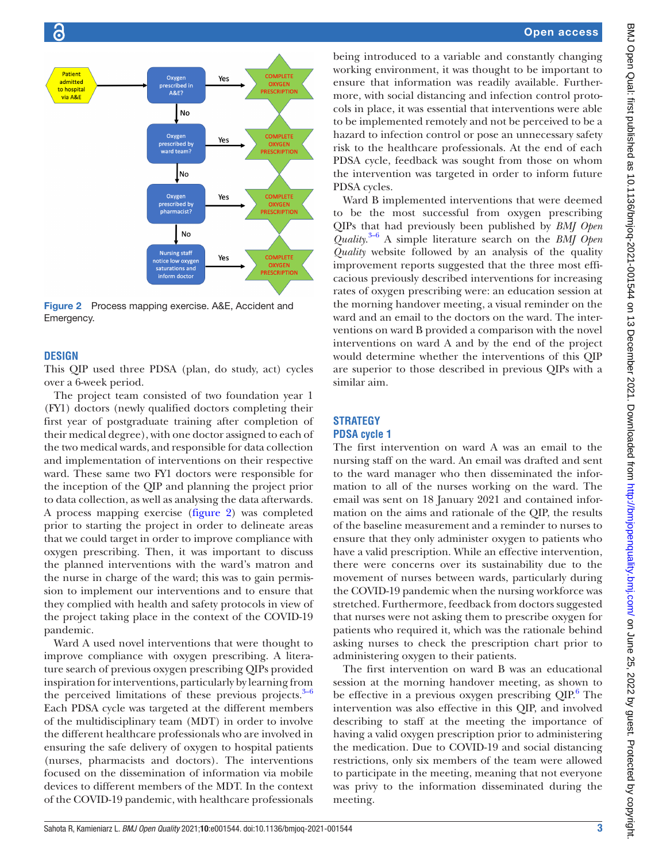

<span id="page-2-0"></span>Figure 2 Process mapping exercise. A&E, Accident and Emergency.

#### **DESIGN**

This QIP used three PDSA (plan, do study, act) cycles over a 6-week period.

The project team consisted of two foundation year 1 (FY1) doctors (newly qualified doctors completing their first year of postgraduate training after completion of their medical degree), with one doctor assigned to each of the two medical wards, and responsible for data collection and implementation of interventions on their respective ward. These same two FY1 doctors were responsible for the inception of the QIP and planning the project prior to data collection, as well as analysing the data afterwards. A process mapping exercise [\(figure](#page-2-0) 2) was completed prior to starting the project in order to delineate areas that we could target in order to improve compliance with oxygen prescribing. Then, it was important to discuss the planned interventions with the ward's matron and the nurse in charge of the ward; this was to gain permission to implement our interventions and to ensure that they complied with health and safety protocols in view of the project taking place in the context of the COVID-19 pandemic.

Ward A used novel interventions that were thought to improve compliance with oxygen prescribing. A literature search of previous oxygen prescribing QIPs provided inspiration for interventions, particularly by learning from the perceived limitations of these previous projects. $3-6$ Each PDSA cycle was targeted at the different members of the multidisciplinary team (MDT) in order to involve the different healthcare professionals who are involved in ensuring the safe delivery of oxygen to hospital patients (nurses, pharmacists and doctors). The interventions focused on the dissemination of information via mobile devices to different members of the MDT. In the context of the COVID-19 pandemic, with healthcare professionals

being introduced to a variable and constantly changing working environment, it was thought to be important to ensure that information was readily available. Furthermore, with social distancing and infection control protocols in place, it was essential that interventions were able to be implemented remotely and not be perceived to be a hazard to infection control or pose an unnecessary safety risk to the healthcare professionals. At the end of each PDSA cycle, feedback was sought from those on whom the intervention was targeted in order to inform future PDSA cycles.

Ward B implemented interventions that were deemed to be the most successful from oxygen prescribing QIPs that had previously been published by *BMJ Open Quality*. [3–6](#page-5-2) A simple literature search on the *BMJ Open Quality* website followed by an analysis of the quality improvement reports suggested that the three most efficacious previously described interventions for increasing rates of oxygen prescribing were: an education session at the morning handover meeting, a visual reminder on the ward and an email to the doctors on the ward. The interventions on ward B provided a comparison with the novel interventions on ward A and by the end of the project would determine whether the interventions of this QIP are superior to those described in previous QIPs with a similar aim.

#### **STRATEGY PDSA cycle 1**

The first intervention on ward A was an email to the nursing staff on the ward. An email was drafted and sent to the ward manager who then disseminated the information to all of the nurses working on the ward. The email was sent on 18 January 2021 and contained information on the aims and rationale of the QIP, the results of the baseline measurement and a reminder to nurses to ensure that they only administer oxygen to patients who have a valid prescription. While an effective intervention, there were concerns over its sustainability due to the movement of nurses between wards, particularly during the COVID-19 pandemic when the nursing workforce was stretched. Furthermore, feedback from doctors suggested that nurses were not asking them to prescribe oxygen for patients who required it, which was the rationale behind asking nurses to check the prescription chart prior to administering oxygen to their patients.

The first intervention on ward B was an educational session at the morning handover meeting, as shown to be effective in a previous oxygen prescribing  $QIP<sup>6</sup>$  $QIP<sup>6</sup>$  $QIP<sup>6</sup>$ . The intervention was also effective in this QIP, and involved describing to staff at the meeting the importance of having a valid oxygen prescription prior to administering the medication. Due to COVID-19 and social distancing restrictions, only six members of the team were allowed to participate in the meeting, meaning that not everyone was privy to the information disseminated during the meeting.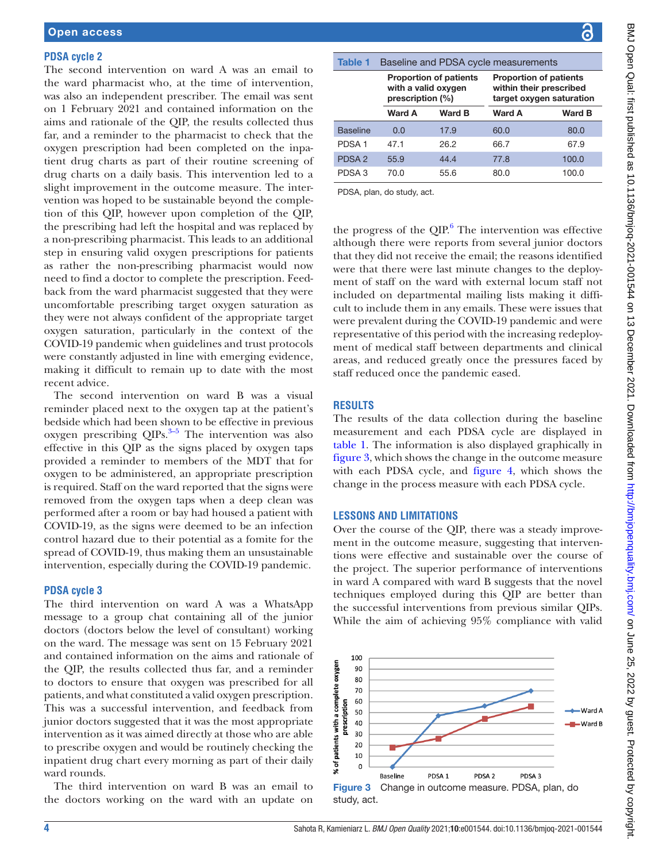#### **PDSA cycle 2**

The second intervention on ward A was an email to the ward pharmacist who, at the time of intervention, was also an independent prescriber. The email was sent on 1 February 2021 and contained information on the aims and rationale of the QIP, the results collected thus far, and a reminder to the pharmacist to check that the oxygen prescription had been completed on the inpatient drug charts as part of their routine screening of drug charts on a daily basis. This intervention led to a slight improvement in the outcome measure. The intervention was hoped to be sustainable beyond the completion of this QIP, however upon completion of the QIP, the prescribing had left the hospital and was replaced by a non-prescribing pharmacist. This leads to an additional step in ensuring valid oxygen prescriptions for patients as rather the non-prescribing pharmacist would now need to find a doctor to complete the prescription. Feedback from the ward pharmacist suggested that they were uncomfortable prescribing target oxygen saturation as they were not always confident of the appropriate target oxygen saturation, particularly in the context of the COVID-19 pandemic when guidelines and trust protocols were constantly adjusted in line with emerging evidence, making it difficult to remain up to date with the most recent advice.

The second intervention on ward B was a visual reminder placed next to the oxygen tap at the patient's bedside which had been shown to be effective in previous oxygen prescribing  $QIPs$ .<sup>3–5</sup> The intervention was also effective in this QIP as the signs placed by oxygen taps provided a reminder to members of the MDT that for oxygen to be administered, an appropriate prescription is required. Staff on the ward reported that the signs were removed from the oxygen taps when a deep clean was performed after a room or bay had housed a patient with COVID-19, as the signs were deemed to be an infection control hazard due to their potential as a fomite for the spread of COVID-19, thus making them an unsustainable intervention, especially during the COVID-19 pandemic.

#### **PDSA cycle 3**

The third intervention on ward A was a WhatsApp message to a group chat containing all of the junior doctors (doctors below the level of consultant) working on the ward. The message was sent on 15 February 2021 and contained information on the aims and rationale of the QIP, the results collected thus far, and a reminder to doctors to ensure that oxygen was prescribed for all patients, and what constituted a valid oxygen prescription. This was a successful intervention, and feedback from junior doctors suggested that it was the most appropriate intervention as it was aimed directly at those who are able to prescribe oxygen and would be routinely checking the inpatient drug chart every morning as part of their daily ward rounds.

The third intervention on ward B was an email to the doctors working on the ward with an update on

<span id="page-3-0"></span>

| <b>Table 1</b>    | Baseline and PDSA cycle measurements                                     |        |                                                                                      |        |  |
|-------------------|--------------------------------------------------------------------------|--------|--------------------------------------------------------------------------------------|--------|--|
|                   | <b>Proportion of patients</b><br>with a valid oxygen<br>prescription (%) |        | <b>Proportion of patients</b><br>within their prescribed<br>target oxygen saturation |        |  |
|                   | Ward A                                                                   | Ward B | <b>Ward A</b>                                                                        | Ward B |  |
| <b>Baseline</b>   | 0.0                                                                      | 17.9   | 60.0                                                                                 | 80.0   |  |
| PDSA <sub>1</sub> | 47.1                                                                     | 26.2   | 66.7                                                                                 | 67.9   |  |
| PDSA <sub>2</sub> | 55.9                                                                     | 44.4   | 77.8                                                                                 | 100.0  |  |
| PDSA <sub>3</sub> | 70.0                                                                     | 55.6   | 80.0                                                                                 | 100.0  |  |

PDSA, plan, do study, act.

the progress of the  $QIP^6$  $QIP^6$ . The intervention was effective although there were reports from several junior doctors that they did not receive the email; the reasons identified were that there were last minute changes to the deployment of staff on the ward with external locum staff not included on departmental mailing lists making it difficult to include them in any emails. These were issues that were prevalent during the COVID-19 pandemic and were representative of this period with the increasing redeployment of medical staff between departments and clinical areas, and reduced greatly once the pressures faced by staff reduced once the pandemic eased.

#### **RESULTS**

The results of the data collection during the baseline measurement and each PDSA cycle are displayed in [table](#page-3-0) 1. The information is also displayed graphically in [figure](#page-3-1) 3, which shows the change in the outcome measure with each PDSA cycle, and [figure](#page-4-0) 4, which shows the change in the process measure with each PDSA cycle.

#### **LESSONS AND LIMITATIONS**

Over the course of the QIP, there was a steady improvement in the outcome measure, suggesting that interventions were effective and sustainable over the course of the project. The superior performance of interventions in ward A compared with ward B suggests that the novel techniques employed during this QIP are better than the successful interventions from previous similar QIPs. While the aim of achieving 95% compliance with valid

<span id="page-3-1"></span>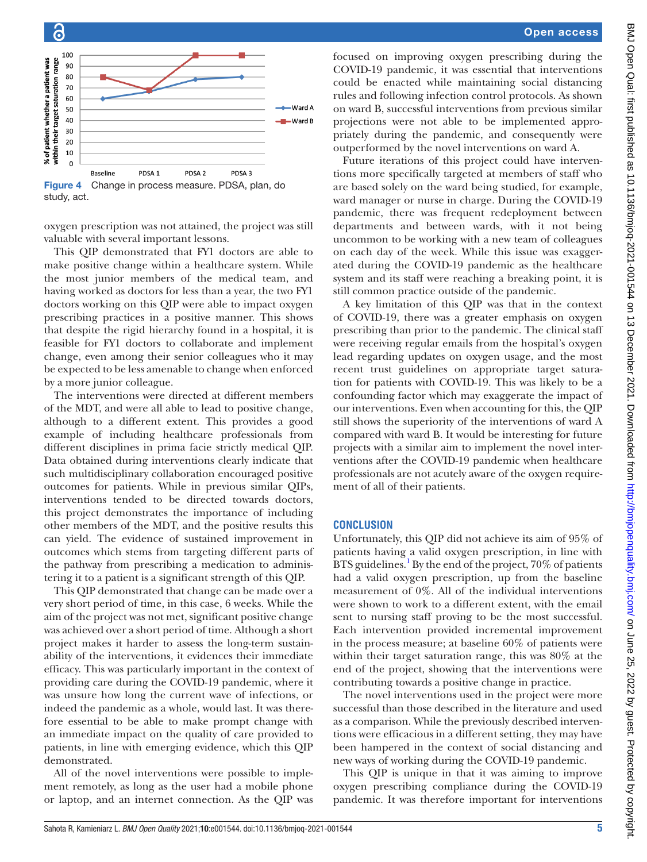

<span id="page-4-0"></span>Figure 4 Change in process measure. PDSA, plan, do study, act.

oxygen prescription was not attained, the project was still valuable with several important lessons.

This QIP demonstrated that FY1 doctors are able to make positive change within a healthcare system. While the most junior members of the medical team, and having worked as doctors for less than a year, the two FY1 doctors working on this QIP were able to impact oxygen prescribing practices in a positive manner. This shows that despite the rigid hierarchy found in a hospital, it is feasible for FY1 doctors to collaborate and implement change, even among their senior colleagues who it may be expected to be less amenable to change when enforced by a more junior colleague.

The interventions were directed at different members of the MDT, and were all able to lead to positive change, although to a different extent. This provides a good example of including healthcare professionals from different disciplines in prima facie strictly medical QIP. Data obtained during interventions clearly indicate that such multidisciplinary collaboration encouraged positive outcomes for patients. While in previous similar QIPs, interventions tended to be directed towards doctors, this project demonstrates the importance of including other members of the MDT, and the positive results this can yield. The evidence of sustained improvement in outcomes which stems from targeting different parts of the pathway from prescribing a medication to administering it to a patient is a significant strength of this QIP.

This QIP demonstrated that change can be made over a very short period of time, in this case, 6 weeks. While the aim of the project was not met, significant positive change was achieved over a short period of time. Although a short project makes it harder to assess the long-term sustainability of the interventions, it evidences their immediate efficacy. This was particularly important in the context of providing care during the COVID-19 pandemic, where it was unsure how long the current wave of infections, or indeed the pandemic as a whole, would last. It was therefore essential to be able to make prompt change with an immediate impact on the quality of care provided to patients, in line with emerging evidence, which this QIP demonstrated.

All of the novel interventions were possible to implement remotely, as long as the user had a mobile phone or laptop, and an internet connection. As the QIP was

focused on improving oxygen prescribing during the COVID-19 pandemic, it was essential that interventions could be enacted while maintaining social distancing rules and following infection control protocols. As shown on ward B, successful interventions from previous similar projections were not able to be implemented appropriately during the pandemic, and consequently were outperformed by the novel interventions on ward A.

Future iterations of this project could have interventions more specifically targeted at members of staff who are based solely on the ward being studied, for example, ward manager or nurse in charge. During the COVID-19 pandemic, there was frequent redeployment between departments and between wards, with it not being uncommon to be working with a new team of colleagues on each day of the week. While this issue was exaggerated during the COVID-19 pandemic as the healthcare system and its staff were reaching a breaking point, it is still common practice outside of the pandemic.

A key limitation of this QIP was that in the context of COVID-19, there was a greater emphasis on oxygen prescribing than prior to the pandemic. The clinical staff were receiving regular emails from the hospital's oxygen lead regarding updates on oxygen usage, and the most recent trust guidelines on appropriate target saturation for patients with COVID-19. This was likely to be a confounding factor which may exaggerate the impact of our interventions. Even when accounting for this, the QIP still shows the superiority of the interventions of ward A compared with ward B. It would be interesting for future projects with a similar aim to implement the novel interventions after the COVID-19 pandemic when healthcare professionals are not acutely aware of the oxygen requirement of all of their patients.

#### **CONCLUSION**

Unfortunately, this QIP did not achieve its aim of 95% of patients having a valid oxygen prescription, in line with BTS guidelines.<sup>[1](#page-5-0)</sup> By the end of the project, 70% of patients had a valid oxygen prescription, up from the baseline measurement of 0%. All of the individual interventions were shown to work to a different extent, with the email sent to nursing staff proving to be the most successful. Each intervention provided incremental improvement in the process measure; at baseline 60% of patients were within their target saturation range, this was 80% at the end of the project, showing that the interventions were contributing towards a positive change in practice.

The novel interventions used in the project were more successful than those described in the literature and used as a comparison. While the previously described interventions were efficacious in a different setting, they may have been hampered in the context of social distancing and new ways of working during the COVID-19 pandemic.

This QIP is unique in that it was aiming to improve oxygen prescribing compliance during the COVID-19 pandemic. It was therefore important for interventions